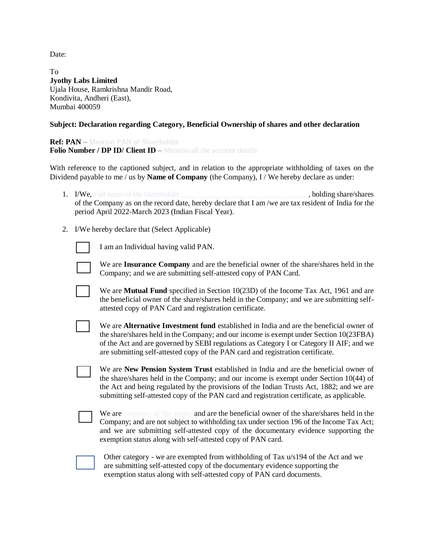Date:

To **Jyothy Labs Limited** Ujala House, Ramkrishna Mandir Road, Kondivita, Andheri (East), Mumbai 400059

## **Subject: Declaration regarding Category, Beneficial Ownership of shares and other declaration**

**Ref: PAN** – Mention PAN of Shareholder **Folio Number / DP ID/ Client ID** – Mention all the account details

With reference to the captioned subject, and in relation to the appropriate withholding of taxes on the Dividend payable to me / us by **Name of Company** (the Company), I / We hereby declare as under:

- 1. I/We, Full name of the shareholder states and states and states and share/shares holding share/shares of the Company as on the record date, hereby declare that I am /we are tax resident of India for the period April 2022-March 2023 (Indian Fiscal Year).
- 2. I/We hereby declare that (Select Applicable)



I am an Individual having valid PAN.

We are **Insurance Company** and are the beneficial owner of the share/shares held in the Company; and we are submitting self-attested copy of PAN Card.

- We are **Mutual Fund** specified in Section 10(23D) of the Income Tax Act, 1961 and are the beneficial owner of the share/shares held in the Company; and we are submitting selfattested copy of PAN Card and registration certificate.
- We are **Alternative Investment fund** established in India and are the beneficial owner of the share/shares held in the Company; and our income is exempt under Section 10(23FBA) of the Act and are governed by SEBI regulations as Category I or Category II AIF; and we are submitting self-attested copy of the PAN card and registration certificate.

We are **New Pension System Trust** established in India and are the beneficial owner of the share/shares held in the Company; and our income is exempt under Section 10(44) of the Act and being regulated by the provisions of the Indian Trusts Act, 1882; and we are submitting self-attested copy of the PAN card and registration certificate, as applicable.

We are **category of the entity** and are the beneficial owner of the share/shares held in the Company; and are not subject to withholding tax under section 196 of the Income Tax Act; and we are submitting self-attested copy of the documentary evidence supporting the exemption status along with self-attested copy of PAN card.

| Other category - we are exempted from withholding of Tax u/s194 of the Act and we |
|-----------------------------------------------------------------------------------|
| are submitting self-attested copy of the documentary evidence supporting the      |
| exemption status along with self-attested copy of PAN card documents.             |